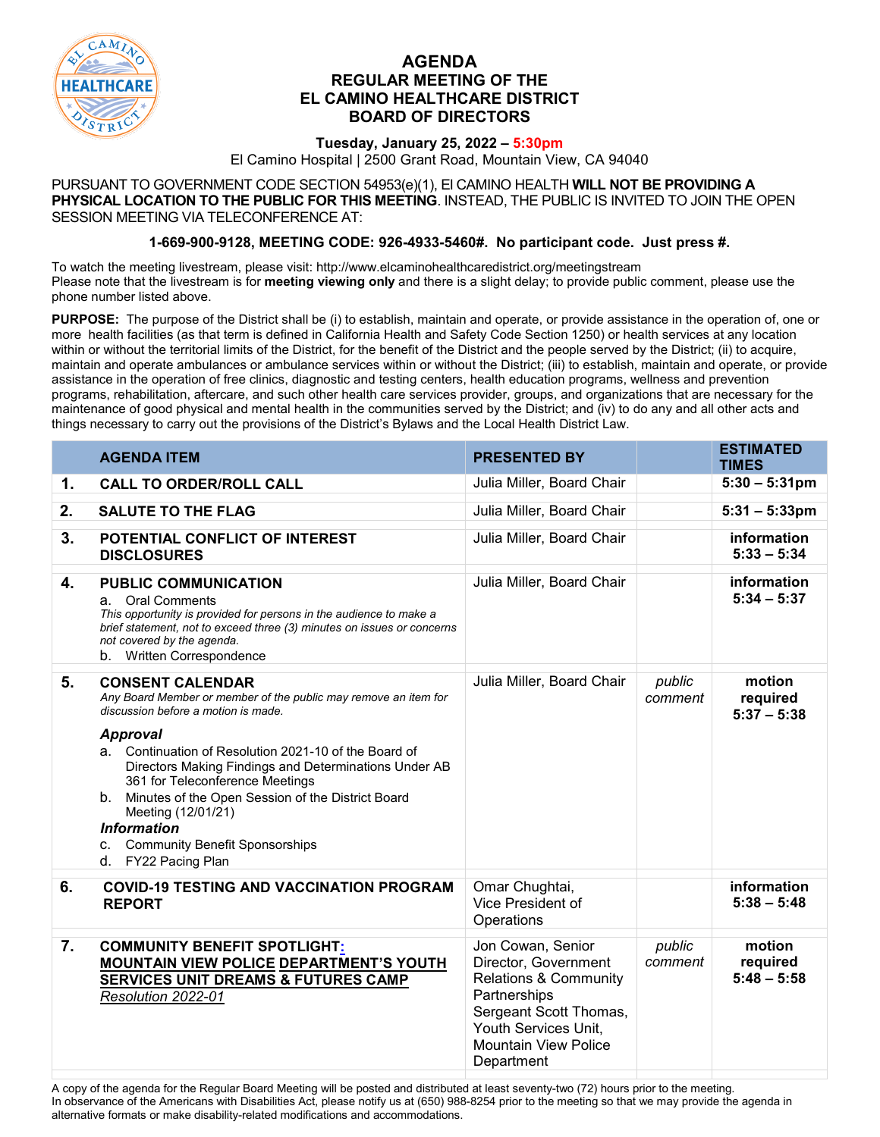

## **AGENDA REGULAR MEETING OF THE EL CAMINO HEALTHCARE DISTRICT BOARD OF DIRECTORS**

## **Tuesday, January 25, 2022 – 5:30pm**

El Camino Hospital | 2500 Grant Road, Mountain View, CA 94040

PURSUANT TO GOVERNMENT CODE SECTION 54953(e)(1), El CAMINO HEALTH **WILL NOT BE PROVIDING A PHYSICAL LOCATION TO THE PUBLIC FOR THIS MEETING**. INSTEAD, THE PUBLIC IS INVITED TO JOIN THE OPEN SESSION MEETING VIA TELECONFERENCE AT:

## **1-669-900-9128, MEETING CODE: 926-4933-5460#. No participant code. Just press #.**

To watch the meeting livestream, please visit: http://www.elcaminohealthcaredistrict.org/meetingstream Please note that the livestream is for **meeting viewing only** and there is a slight delay; to provide public comment, please use the phone number listed above.

**PURPOSE:** The purpose of the District shall be (i) to establish, maintain and operate, or provide assistance in the operation of, one or more health facilities (as that term is defined in California Health and Safety Code Section 1250) or health services at any location within or without the territorial limits of the District, for the benefit of the District and the people served by the District; (ii) to acquire, maintain and operate ambulances or ambulance services within or without the District; (iii) to establish, maintain and operate, or provide assistance in the operation of free clinics, diagnostic and testing centers, health education programs, wellness and prevention programs, rehabilitation, aftercare, and such other health care services provider, groups, and organizations that are necessary for the maintenance of good physical and mental health in the communities served by the District; and (iv) to do any and all other acts and things necessary to carry out the provisions of the District's Bylaws and the Local Health District Law.

|                           | <b>AGENDA ITEM</b>                                                                                                                                                                                                                                                                                                                                                                                                                                                                  | <b>PRESENTED BY</b>                                                                                                                                                                          |                   | <b>ESTIMATED</b><br><b>TIMES</b>    |
|---------------------------|-------------------------------------------------------------------------------------------------------------------------------------------------------------------------------------------------------------------------------------------------------------------------------------------------------------------------------------------------------------------------------------------------------------------------------------------------------------------------------------|----------------------------------------------------------------------------------------------------------------------------------------------------------------------------------------------|-------------------|-------------------------------------|
| 1.                        | <b>CALL TO ORDER/ROLL CALL</b>                                                                                                                                                                                                                                                                                                                                                                                                                                                      | Julia Miller, Board Chair                                                                                                                                                                    |                   | $5:30 - 5:31 \text{pm}$             |
| 2.                        | <b>SALUTE TO THE FLAG</b>                                                                                                                                                                                                                                                                                                                                                                                                                                                           | Julia Miller, Board Chair                                                                                                                                                                    |                   | $5:31 - 5:33$ pm                    |
| 3.                        | POTENTIAL CONFLICT OF INTEREST<br><b>DISCLOSURES</b>                                                                                                                                                                                                                                                                                                                                                                                                                                | Julia Miller, Board Chair                                                                                                                                                                    |                   | information<br>$5:33 - 5:34$        |
| $\overline{\mathbf{4}}$ . | <b>PUBLIC COMMUNICATION</b><br>a. Oral Comments<br>This opportunity is provided for persons in the audience to make a<br>brief statement, not to exceed three (3) minutes on issues or concerns<br>not covered by the agenda.<br>b. Written Correspondence                                                                                                                                                                                                                          | Julia Miller, Board Chair                                                                                                                                                                    |                   | information<br>$5:34 - 5:37$        |
| 5.                        | <b>CONSENT CALENDAR</b><br>Any Board Member or member of the public may remove an item for<br>discussion before a motion is made.<br><b>Approval</b><br>a. Continuation of Resolution 2021-10 of the Board of<br>Directors Making Findings and Determinations Under AB<br>361 for Teleconference Meetings<br>b. Minutes of the Open Session of the District Board<br>Meeting (12/01/21)<br><b>Information</b><br><b>Community Benefit Sponsorships</b><br>C.<br>d. FY22 Pacing Plan | Julia Miller, Board Chair                                                                                                                                                                    | public<br>comment | motion<br>required<br>$5:37 - 5:38$ |
| 6.                        | <b>COVID-19 TESTING AND VACCINATION PROGRAM</b><br><b>REPORT</b>                                                                                                                                                                                                                                                                                                                                                                                                                    | Omar Chughtai,<br>Vice President of<br>Operations                                                                                                                                            |                   | information<br>$5:38 - 5:48$        |
| 7.                        | <b>COMMUNITY BENEFIT SPOTLIGHT:</b><br>MOUNTAIN VIEW POLICE DEPARTMENT'S YOUTH<br><b>SERVICES UNIT DREAMS &amp; FUTURES CAMP</b><br>Resolution 2022-01                                                                                                                                                                                                                                                                                                                              | Jon Cowan, Senior<br>Director, Government<br><b>Relations &amp; Community</b><br>Partnerships<br>Sergeant Scott Thomas,<br>Youth Services Unit,<br><b>Mountain View Police</b><br>Department | public<br>comment | motion<br>required<br>$5:48 - 5:58$ |

A copy of the agenda for the Regular Board Meeting will be posted and distributed at least seventy-two (72) hours prior to the meeting. In observance of the Americans with Disabilities Act, please notify us at (650) 988-8254 prior to the meeting so that we may provide the agenda in alternative formats or make disability-related modifications and accommodations.